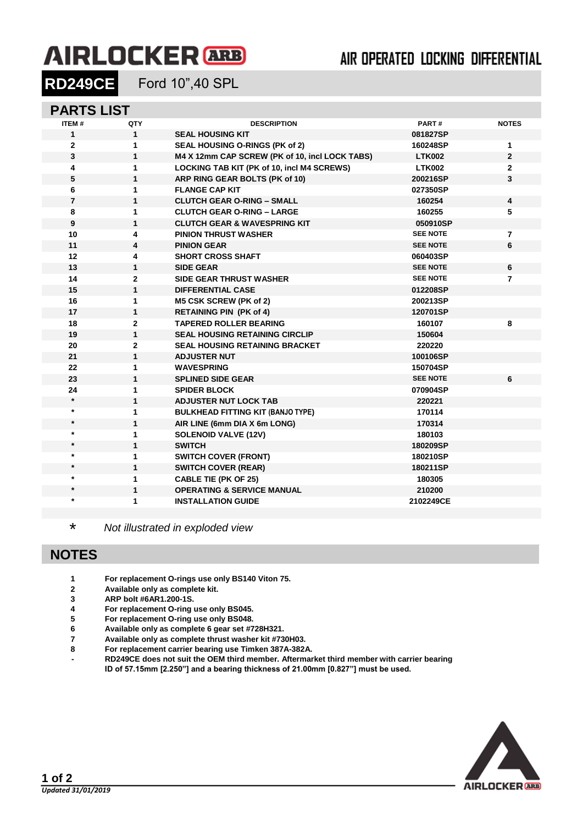# **AIRLOCKER** ARB

**RD249CE** Ford 10",40 SPL

#### **PARTS LIST**

| ITEM#          | QTY            | <b>DESCRIPTION</b>                             | PART#           | <b>NOTES</b>   |
|----------------|----------------|------------------------------------------------|-----------------|----------------|
| $\mathbf{1}$   | $\mathbf{1}$   | <b>SEAL HOUSING KIT</b>                        | 081827SP        |                |
| $\mathbf{2}$   | 1              | SEAL HOUSING O-RINGS (PK of 2)                 | 160248SP        | 1              |
| 3              | 1              | M4 X 12mm CAP SCREW (PK of 10, incl LOCK TABS) | <b>LTK002</b>   | $\overline{2}$ |
| 4              | 1              | LOCKING TAB KIT (PK of 10, incl M4 SCREWS)     | <b>LTK002</b>   | 2              |
| 5              | 1              | ARP RING GEAR BOLTS (PK of 10)                 | 200216SP        | 3              |
| 6              | 1              | <b>FLANGE CAP KIT</b>                          | 027350SP        |                |
| $\overline{7}$ | 1              | <b>CLUTCH GEAR O-RING - SMALL</b>              | 160254          | 4              |
| 8              | 1              | <b>CLUTCH GEAR O-RING - LARGE</b>              | 160255          | 5              |
| 9              | 1              | <b>CLUTCH GEAR &amp; WAVESPRING KIT</b>        | 050910SP        |                |
| 10             | 4              | <b>PINION THRUST WASHER</b>                    | <b>SEE NOTE</b> | $\overline{7}$ |
| 11             | 4              | <b>PINION GEAR</b>                             | <b>SEE NOTE</b> | $\bf 6$        |
| 12             | 4              | <b>SHORT CROSS SHAFT</b>                       | 060403SP        |                |
| 13             | $\mathbf{1}$   | <b>SIDE GEAR</b>                               | <b>SEE NOTE</b> | 6              |
| 14             | $\mathbf{2}$   | <b>SIDE GEAR THRUST WASHER</b>                 | <b>SEE NOTE</b> | 7              |
| 15             | $\mathbf{1}$   | <b>DIFFERENTIAL CASE</b>                       | 012208SP        |                |
| 16             | 1              | M5 CSK SCREW (PK of 2)                         | 200213SP        |                |
| 17             | $\mathbf{1}$   | <b>RETAINING PIN (PK of 4)</b>                 | 120701SP        |                |
| 18             | $\mathbf{2}$   | <b>TAPERED ROLLER BEARING</b>                  | 160107          | 8              |
| 19             | $\mathbf{1}$   | <b>SEAL HOUSING RETAINING CIRCLIP</b>          | 150604          |                |
| 20             | $\overline{2}$ | <b>SEAL HOUSING RETAINING BRACKET</b>          | 220220          |                |
| 21             | $\mathbf{1}$   | <b>ADJUSTER NUT</b>                            | 100106SP        |                |
| 22             | 1              | <b>WAVESPRING</b>                              | 150704SP        |                |
| 23             | 1              | <b>SPLINED SIDE GEAR</b>                       | <b>SEE NOTE</b> | 6              |
| 24             | 1              | <b>SPIDER BLOCK</b>                            | 070904SP        |                |
| $\star$        | 1              | <b>ADJUSTER NUT LOCK TAB</b>                   | 220221          |                |
| $\star$        | 1              | <b>BULKHEAD FITTING KIT (BANJO TYPE)</b>       | 170114          |                |
| $\star$        | 1              | AIR LINE (6mm DIA X 6m LONG)                   | 170314          |                |
| $\star$        | 1              | <b>SOLENOID VALVE (12V)</b>                    | 180103          |                |
| $\star$        | 1              | <b>SWITCH</b>                                  | 180209SP        |                |
| $\star$        | 1              | <b>SWITCH COVER (FRONT)</b>                    | 180210SP        |                |
| $\star$        | 1              | <b>SWITCH COVER (REAR)</b>                     | 180211SP        |                |
| $\star$        | 1              | <b>CABLE TIE (PK OF 25)</b>                    | 180305          |                |
|                | 1              | <b>OPERATING &amp; SERVICE MANUAL</b>          | 210200          |                |
| $\star$        | 1              | <b>INSTALLATION GUIDE</b>                      | 2102249CE       |                |

\* *Not illustrated in exploded view*

### **NOTES**

- **For replacement O-rings use only BS140 Viton 75.**
- **Available only as complete kit.**
- **ARP bolt #6AR1.200-1S.**
- **For replacement O-ring use only BS045.**
- **For replacement O-ring use only BS048.**
- **Available only as complete 6 gear set #728H321.**
- **Available only as complete thrust washer kit #730H03.**
- **For replacement carrier bearing use Timken 387A-382A.**
- **- RD249CE does not suit the OEM third member. Aftermarket third member with carrier bearing ID of 57.15mm [2.250"] and a bearing thickness of 21.00mm [0.827"] must be used.**